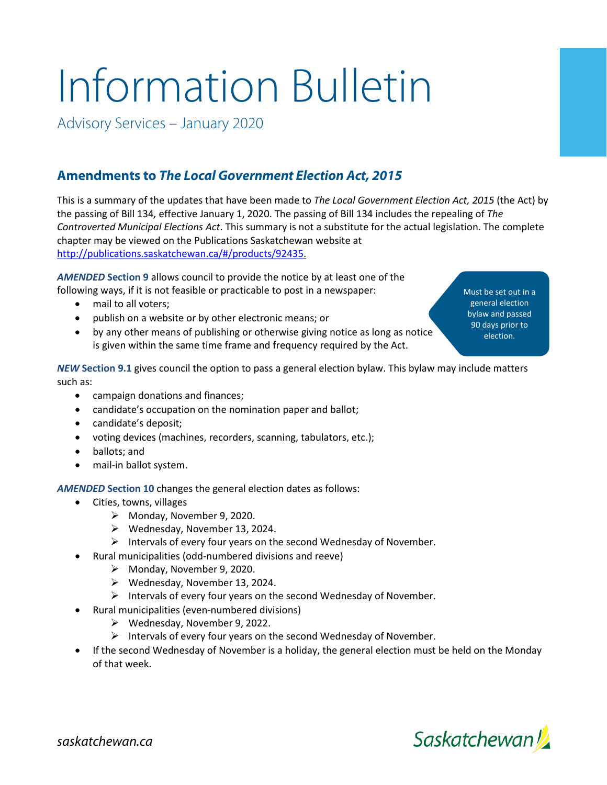## Information Bulletin

Advisory Services – January 2020

## **Amendments to** *The Local Government Election Act, 2015*

This is a summary of the updates that have been made to *The Local Government Election Act, 2015* (the Act) by the passing of Bill 134*,* effective January 1, 2020. The passing of Bill 134 includes the repealing of *The Controverted Municipal Elections Act*. This summary is not a substitute for the actual legislation. The complete chapter may be viewed on the Publications Saskatchewan website at [http://publications.saskatchewan.ca/#/products/92435.](http://publications.saskatchewan.ca/#/products/92435)

*AMENDED* **Section 9** allows council to provide the notice by at least one of the following ways, if it is not feasible or practicable to post in a newspaper:

- mail to all voters;
- publish on a website or by other electronic means; or
- by any other means of publishing or otherwise giving notice as long as notice is given within the same time frame and frequency required by the Act.

Must be set out in a general election bylaw and passed 90 days prior to election.

*NEW* **Section 9.1** gives council the option to pass a general election bylaw. This bylaw may include matters such as:

- campaign donations and finances;
- candidate's occupation on the nomination paper and ballot;
- candidate's deposit;
- voting devices (machines, recorders, scanning, tabulators, etc.);
- ballots; and
- mail-in ballot system.

*AMENDED* **Section 10** changes the general election dates as follows:

- Cities, towns, villages
	- Monday, November 9, 2020.
	- $\triangleright$  Wednesday, November 13, 2024.
	- $\triangleright$  Intervals of every four years on the second Wednesday of November.
- Rural municipalities (odd-numbered divisions and reeve)
	- Monday, November 9, 2020.
	- $\triangleright$  Wednesday, November 13, 2024.
	- $\triangleright$  Intervals of every four years on the second Wednesday of November.
- Rural municipalities (even-numbered divisions)
	- Wednesday, November 9, 2022.
	- $\triangleright$  Intervals of every four years on the second Wednesday of November.
- If the second Wednesday of November is a holiday, the general election must be held on the Monday of that week.